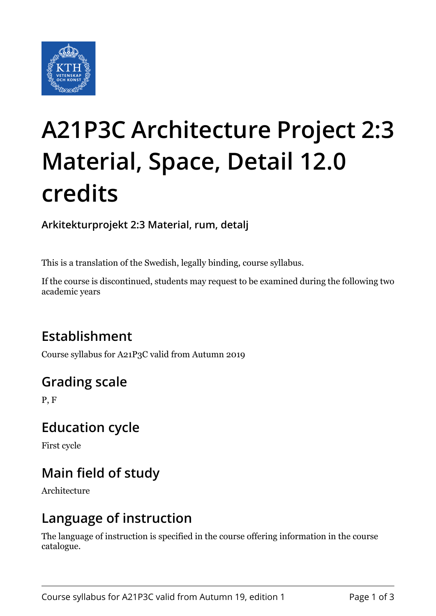

# **A21P3C Architecture Project 2:3 Material, Space, Detail 12.0 credits**

**Arkitekturprojekt 2:3 Material, rum, detalj**

This is a translation of the Swedish, legally binding, course syllabus.

If the course is discontinued, students may request to be examined during the following two academic years

# **Establishment**

Course syllabus for A21P3C valid from Autumn 2019

# **Grading scale**

P, F

### **Education cycle**

First cycle

# **Main field of study**

Architecture

### **Language of instruction**

The language of instruction is specified in the course offering information in the course catalogue.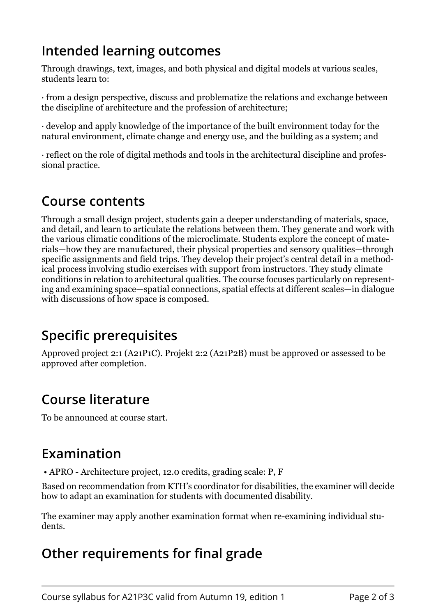# **Intended learning outcomes**

Through drawings, text, images, and both physical and digital models at various scales, students learn to:

 $\cdot$  from a design perspective, discuss and problematize the relations and exchange between the discipline of architecture and the profession of architecture;

 $\cdot$  develop and apply knowledge of the importance of the built environment today for the natural environment, climate change and energy use, and the building as a system; and

· reflect on the role of digital methods and tools in the architectural discipline and professional practice.

### **Course contents**

Through a small design project, students gain a deeper understanding of materials, space, and detail, and learn to articulate the relations between them. They generate and work with the various climatic conditions of the microclimate. Students explore the concept of matek rials—how they are manufactured, their physical properties and sensory qualities—through specific assignments and field trips. They develop their project's central detail in a methodical process involving studio exercises with support from instructors. They study climate conditions in relation to architectural qualities. The course focuses particularly on representing and examining space—spatial connections, spatial effects at different scales—in dialogue with discussions of how space is composed.

# **Specific prerequisites**

Approved project 2:1 (A21P1C). Projekt 2:2 (A21P2B) must be approved or assessed to be approved after completion.

# **Course literature**

To be announced at course start.

# **Examination**

• APRO - Architecture project, 12.0 credits, grading scale: P, F

Based on recommendation from KTH's coordinator for disabilities, the examiner will decide how to adapt an examination for students with documented disability.

The examiner may apply another examination format when re-examining individual students.

# **Other requirements for final grade**